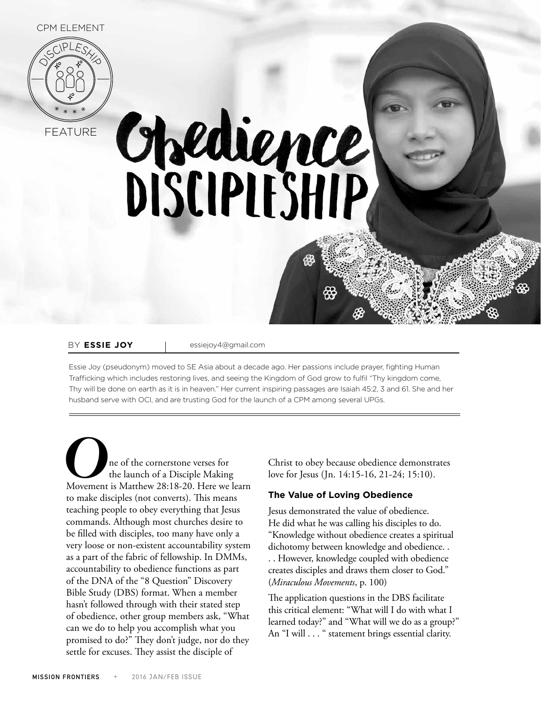

Chedience

BY **ESSIE JOY** | essiejoy4@gmail.com

Essie Joy (pseudonym) moved to SE Asia about a decade ago. Her passions include prayer, fighting Human Trafficking which includes restoring lives, and seeing the Kingdom of God grow to fulfil "Thy kingdom come, Thy will be done on earth as it is in heaven." Her current inspiring passages are Isaiah 45:2, 3 and 61. She and her husband serve with OCI, and are trusting God for the launch of a CPM among several UPGs.

**O**ne of the cornerstone verses for<br>
the launch of a Disciple Making<br>
Movement is Matthew 28:18-20. Here we learn the launch of a Disciple Making to make disciples (not converts). This means teaching people to obey everything that Jesus commands. Although most churches desire to be filled with disciples, too many have only a very loose or non-existent accountability system as a part of the fabric of fellowship. In DMMs, accountability to obedience functions as part of the DNA of the "8 Question" Discovery Bible Study (DBS) format. When a member hasn't followed through with their stated step of obedience, other group members ask, "What can we do to help you accomplish what you promised to do?" They don't judge, nor do they settle for excuses. They assist the disciple of

Christ to obey because obedience demonstrates love for Jesus (Jn. 14:15-16, 21-24; 15:10).

## **The Value of Loving Obedience**

Jesus demonstrated the value of obedience. He did what he was calling his disciples to do. "Knowledge without obedience creates a spiritual dichotomy between knowledge and obedience. . . . However, knowledge coupled with obedience creates disciples and draws them closer to God." (*Miraculous Movements*, p. 100)

The application questions in the DBS facilitate this critical element: "What will I do with what I learned today?" and "What will we do as a group?" An "I will . . . " statement brings essential clarity.